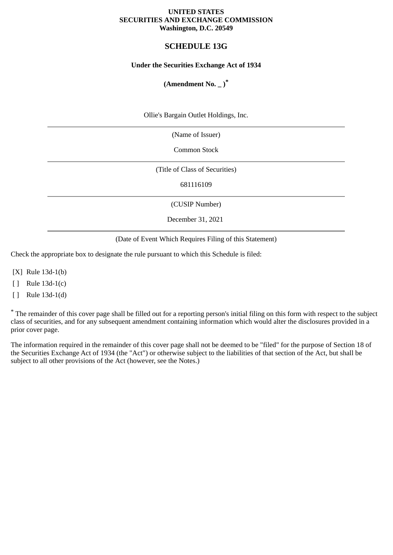### **UNITED STATES SECURITIES AND EXCHANGE COMMISSION Washington, D.C. 20549**

# **SCHEDULE 13G**

### **Under the Securities Exchange Act of 1934**

## **(Amendment No. \_ )\***

Ollie's Bargain Outlet Holdings, Inc.

(Name of Issuer)

Common Stock

(Title of Class of Securities)

681116109

(CUSIP Number)

December 31, 2021

(Date of Event Which Requires Filing of this Statement)

Check the appropriate box to designate the rule pursuant to which this Schedule is filed:

[X] Rule 13d-1(b)

[ ] Rule 13d-1(c)

[ ] Rule 13d-1(d)

\* The remainder of this cover page shall be filled out for a reporting person's initial filing on this form with respect to the subject class of securities, and for any subsequent amendment containing information which would alter the disclosures provided in a prior cover page.

The information required in the remainder of this cover page shall not be deemed to be "filed" for the purpose of Section 18 of the Securities Exchange Act of 1934 (the "Act") or otherwise subject to the liabilities of that section of the Act, but shall be subject to all other provisions of the Act (however, see the Notes.)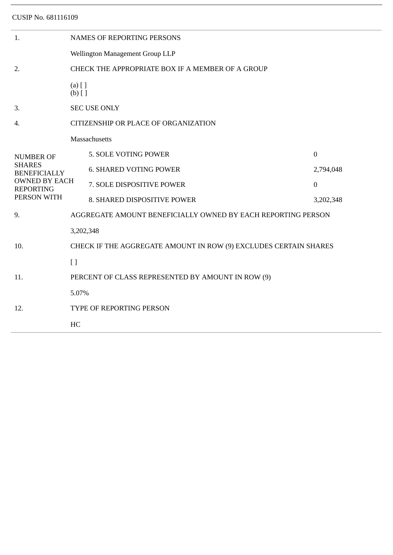CUSIP No. 681116109

| 1.                                                                                                                  | <b>NAMES OF REPORTING PERSONS</b>                                |                               |                  |  |  |
|---------------------------------------------------------------------------------------------------------------------|------------------------------------------------------------------|-------------------------------|------------------|--|--|
|                                                                                                                     | Wellington Management Group LLP                                  |                               |                  |  |  |
| 2.                                                                                                                  | CHECK THE APPROPRIATE BOX IF A MEMBER OF A GROUP                 |                               |                  |  |  |
|                                                                                                                     | $(a)$ [ ]<br>$(b)$ []                                            |                               |                  |  |  |
| 3.                                                                                                                  | <b>SEC USE ONLY</b>                                              |                               |                  |  |  |
| 4.                                                                                                                  | CITIZENSHIP OR PLACE OF ORGANIZATION                             |                               |                  |  |  |
| <b>NUMBER OF</b><br><b>SHARES</b><br><b>BENEFICIALLY</b><br><b>OWNED BY EACH</b><br><b>REPORTING</b><br>PERSON WITH | Massachusetts                                                    |                               |                  |  |  |
|                                                                                                                     |                                                                  | 5. SOLE VOTING POWER          | $\boldsymbol{0}$ |  |  |
|                                                                                                                     |                                                                  | <b>6. SHARED VOTING POWER</b> | 2,794,048        |  |  |
|                                                                                                                     |                                                                  | 7. SOLE DISPOSITIVE POWER     | $\boldsymbol{0}$ |  |  |
|                                                                                                                     |                                                                  | 8. SHARED DISPOSITIVE POWER   | 3,202,348        |  |  |
| 9.                                                                                                                  | AGGREGATE AMOUNT BENEFICIALLY OWNED BY EACH REPORTING PERSON     |                               |                  |  |  |
| 10.                                                                                                                 | 3,202,348                                                        |                               |                  |  |  |
|                                                                                                                     | CHECK IF THE AGGREGATE AMOUNT IN ROW (9) EXCLUDES CERTAIN SHARES |                               |                  |  |  |
|                                                                                                                     | $\left[ \ \right]$                                               |                               |                  |  |  |
| 11.                                                                                                                 | PERCENT OF CLASS REPRESENTED BY AMOUNT IN ROW (9)                |                               |                  |  |  |
| 12.                                                                                                                 | 5.07%                                                            |                               |                  |  |  |
|                                                                                                                     | TYPE OF REPORTING PERSON                                         |                               |                  |  |  |
|                                                                                                                     | HC                                                               |                               |                  |  |  |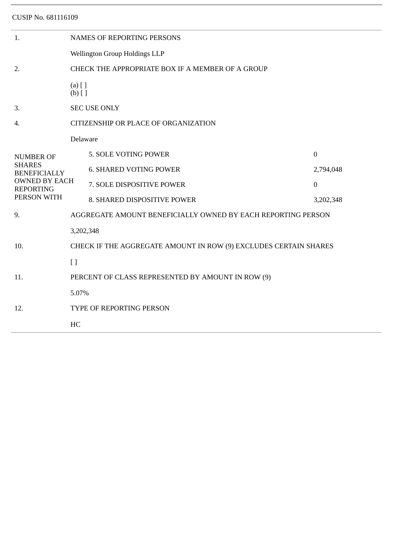CUSIP No. 681116109

| 1.                                                                                                                  | <b>NAMES OF REPORTING PERSONS</b>                                |                                                   |                  |  |  |
|---------------------------------------------------------------------------------------------------------------------|------------------------------------------------------------------|---------------------------------------------------|------------------|--|--|
|                                                                                                                     | Wellington Group Holdings LLP                                    |                                                   |                  |  |  |
| 2.                                                                                                                  | CHECK THE APPROPRIATE BOX IF A MEMBER OF A GROUP                 |                                                   |                  |  |  |
|                                                                                                                     | $(a)$ [ ]<br>$(b)$ []                                            |                                                   |                  |  |  |
| 3.                                                                                                                  | <b>SEC USE ONLY</b>                                              |                                                   |                  |  |  |
| 4.                                                                                                                  | CITIZENSHIP OR PLACE OF ORGANIZATION                             |                                                   |                  |  |  |
| <b>NUMBER OF</b><br><b>SHARES</b><br><b>BENEFICIALLY</b><br><b>OWNED BY EACH</b><br><b>REPORTING</b><br>PERSON WITH | Delaware                                                         |                                                   |                  |  |  |
|                                                                                                                     |                                                                  | 5. SOLE VOTING POWER                              | $\boldsymbol{0}$ |  |  |
|                                                                                                                     |                                                                  | <b>6. SHARED VOTING POWER</b>                     | 2,794,048        |  |  |
|                                                                                                                     |                                                                  | 7. SOLE DISPOSITIVE POWER                         | $\boldsymbol{0}$ |  |  |
|                                                                                                                     |                                                                  | 8. SHARED DISPOSITIVE POWER                       | 3,202,348        |  |  |
| 9.                                                                                                                  | AGGREGATE AMOUNT BENEFICIALLY OWNED BY EACH REPORTING PERSON     |                                                   |                  |  |  |
| 10.                                                                                                                 | 3,202,348                                                        |                                                   |                  |  |  |
|                                                                                                                     | CHECK IF THE AGGREGATE AMOUNT IN ROW (9) EXCLUDES CERTAIN SHARES |                                                   |                  |  |  |
|                                                                                                                     | $\left[ \ \right]$                                               |                                                   |                  |  |  |
| 11.                                                                                                                 |                                                                  | PERCENT OF CLASS REPRESENTED BY AMOUNT IN ROW (9) |                  |  |  |
| 12.                                                                                                                 | 5.07%                                                            |                                                   |                  |  |  |
|                                                                                                                     | TYPE OF REPORTING PERSON                                         |                                                   |                  |  |  |
|                                                                                                                     | HC                                                               |                                                   |                  |  |  |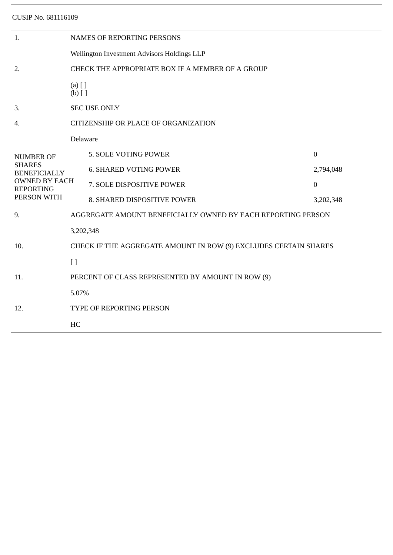CUSIP No. 681116109

| 1.                                                                                                                  | <b>NAMES OF REPORTING PERSONS</b>                                |                               |                  |  |  |  |
|---------------------------------------------------------------------------------------------------------------------|------------------------------------------------------------------|-------------------------------|------------------|--|--|--|
|                                                                                                                     | Wellington Investment Advisors Holdings LLP                      |                               |                  |  |  |  |
| 2.                                                                                                                  | CHECK THE APPROPRIATE BOX IF A MEMBER OF A GROUP                 |                               |                  |  |  |  |
|                                                                                                                     | $(a)$ [ ]<br>$(b)$ []                                            |                               |                  |  |  |  |
| 3.                                                                                                                  | <b>SEC USE ONLY</b>                                              |                               |                  |  |  |  |
| 4.                                                                                                                  | CITIZENSHIP OR PLACE OF ORGANIZATION                             |                               |                  |  |  |  |
| <b>NUMBER OF</b><br><b>SHARES</b><br><b>BENEFICIALLY</b><br><b>OWNED BY EACH</b><br><b>REPORTING</b><br>PERSON WITH | Delaware                                                         |                               |                  |  |  |  |
|                                                                                                                     |                                                                  | 5. SOLE VOTING POWER          | $\overline{0}$   |  |  |  |
|                                                                                                                     |                                                                  | <b>6. SHARED VOTING POWER</b> | 2,794,048        |  |  |  |
|                                                                                                                     |                                                                  | 7. SOLE DISPOSITIVE POWER     | $\boldsymbol{0}$ |  |  |  |
|                                                                                                                     |                                                                  | 8. SHARED DISPOSITIVE POWER   | 3,202,348        |  |  |  |
| 9.                                                                                                                  | AGGREGATE AMOUNT BENEFICIALLY OWNED BY EACH REPORTING PERSON     |                               |                  |  |  |  |
| 10.                                                                                                                 | 3,202,348                                                        |                               |                  |  |  |  |
|                                                                                                                     | CHECK IF THE AGGREGATE AMOUNT IN ROW (9) EXCLUDES CERTAIN SHARES |                               |                  |  |  |  |
|                                                                                                                     | $\left[ \ \right]$                                               |                               |                  |  |  |  |
| 11.                                                                                                                 | PERCENT OF CLASS REPRESENTED BY AMOUNT IN ROW (9)                |                               |                  |  |  |  |
| 12.                                                                                                                 | 5.07%                                                            |                               |                  |  |  |  |
|                                                                                                                     | TYPE OF REPORTING PERSON                                         |                               |                  |  |  |  |
|                                                                                                                     | HC                                                               |                               |                  |  |  |  |
|                                                                                                                     |                                                                  |                               |                  |  |  |  |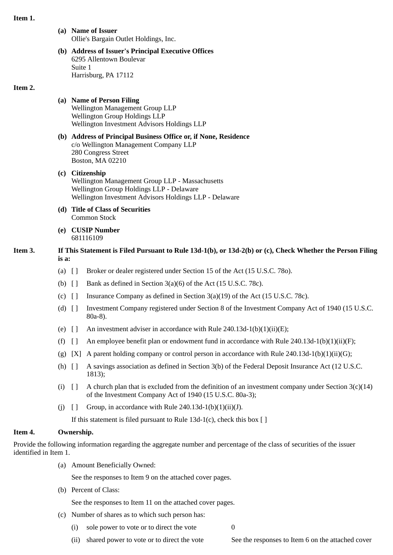#### **Item 1.**

**(a) Name of Issuer** Ollie's Bargain Outlet Holdings, Inc.

### **(b) Address of Issuer's Principal Executive Offices** 6295 Allentown Boulevar Suite 1 Harrisburg, PA 17112

#### **Item 2.**

## **(a) Name of Person Filing**

Wellington Management Group LLP Wellington Group Holdings LLP Wellington Investment Advisors Holdings LLP

- **(b) Address of Principal Business Office or, if None, Residence** c/o Wellington Management Company LLP 280 Congress Street Boston, MA 02210
- **(c) Citizenship** Wellington Management Group LLP - Massachusetts Wellington Group Holdings LLP - Delaware Wellington Investment Advisors Holdings LLP - Delaware
- **(d) Title of Class of Securities** Common Stock
- **(e) CUSIP Number** 681116109

## **Item 3. If This Statement is Filed Pursuant to Rule 13d-1(b), or 13d-2(b) or (c), Check Whether the Person Filing is a:**

- (a) [ ] Broker or dealer registered under Section 15 of the Act (15 U.S.C. 78o).
- (b)  $\begin{bmatrix} \end{bmatrix}$  Bank as defined in Section 3(a)(6) of the Act (15 U.S.C. 78c).
- (c) [ ] Insurance Company as defined in Section 3(a)(19) of the Act (15 U.S.C. 78c).
- (d) [ ] Investment Company registered under Section 8 of the Investment Company Act of 1940 (15 U.S.C. 80a-8).
- (e)  $\begin{bmatrix} \end{bmatrix}$  An investment adviser in accordance with Rule 240.13d-1(b)(1)(ii)(E);
- (f)  $\lceil$  An employee benefit plan or endowment fund in accordance with Rule 240.13d-1(b)(1)(ii)(F);
- (g) [X] A parent holding company or control person in accordance with Rule 240.13d-1(b)(1)(ii)(G);
- (h) [ ] A savings association as defined in Section 3(b) of the Federal Deposit Insurance Act (12 U.S.C. 1813);
- (i)  $\lceil \cdot \rceil$  A church plan that is excluded from the definition of an investment company under Section 3(c)(14) of the Investment Company Act of 1940 (15 U.S.C. 80a-3);
- (j)  $\left[ \right]$  Group, in accordance with Rule 240.13d-1(b)(1)(ii)(J).

If this statement is filed pursuant to Rule 13d-1(c), check this box  $\lceil \cdot \rceil$ 

### **Item 4. Ownership.**

Provide the following information regarding the aggregate number and percentage of the class of securities of the issuer identified in Item 1.

(a) Amount Beneficially Owned:

See the responses to Item 9 on the attached cover pages.

(b) Percent of Class:

See the responses to Item 11 on the attached cover pages.

- (c) Number of shares as to which such person has:
	- (i) sole power to vote or to direct the vote  $0$

(ii) shared power to vote or to direct the vote See the responses to Item 6 on the attached cover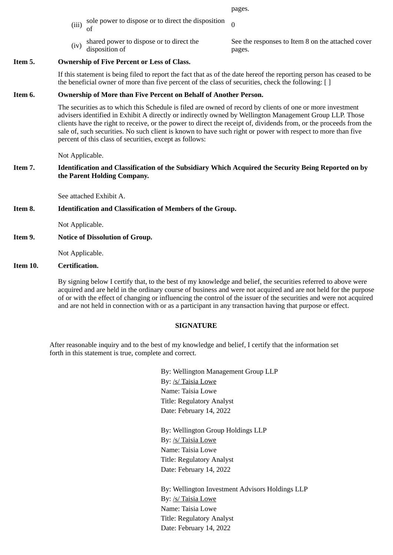pages.

- (iii) sole power to dispose or to direct the disposition  $\sigma$
- $(iv)$  shared power to dispose or to direct the disposition of

See the responses to Item 8 on the attached cover pages.

# **Item 5. Ownership of Five Percent or Less of Class.**

If this statement is being filed to report the fact that as of the date hereof the reporting person has ceased to be the beneficial owner of more than five percent of the class of securities, check the following: [ ]

# **Item 6. Ownership of More than Five Percent on Behalf of Another Person.**

The securities as to which this Schedule is filed are owned of record by clients of one or more investment advisers identified in Exhibit A directly or indirectly owned by Wellington Management Group LLP. Those clients have the right to receive, or the power to direct the receipt of, dividends from, or the proceeds from the sale of, such securities. No such client is known to have such right or power with respect to more than five percent of this class of securities, except as follows:

Not Applicable.

## **Item 7. Identification and Classification of the Subsidiary Which Acquired the Security Being Reported on by the Parent Holding Company.**

See attached Exhibit A.

# **Item 8. Identification and Classification of Members of the Group.**

Not Applicable.

**Item 9. Notice of Dissolution of Group.**

Not Applicable.

### **Item 10. Certification.**

By signing below I certify that, to the best of my knowledge and belief, the securities referred to above were acquired and are held in the ordinary course of business and were not acquired and are not held for the purpose of or with the effect of changing or influencing the control of the issuer of the securities and were not acquired and are not held in connection with or as a participant in any transaction having that purpose or effect.

### **SIGNATURE**

After reasonable inquiry and to the best of my knowledge and belief, I certify that the information set forth in this statement is true, complete and correct.

> By: Wellington Management Group LLP By: /s/ Taisia Lowe Name: Taisia Lowe Title: Regulatory Analyst Date: February 14, 2022

By: Wellington Group Holdings LLP By: /s/ Taisia Lowe Name: Taisia Lowe Title: Regulatory Analyst Date: February 14, 2022

By: Wellington Investment Advisors Holdings LLP By: /s/ Taisia Lowe Name: Taisia Lowe Title: Regulatory Analyst Date: February 14, 2022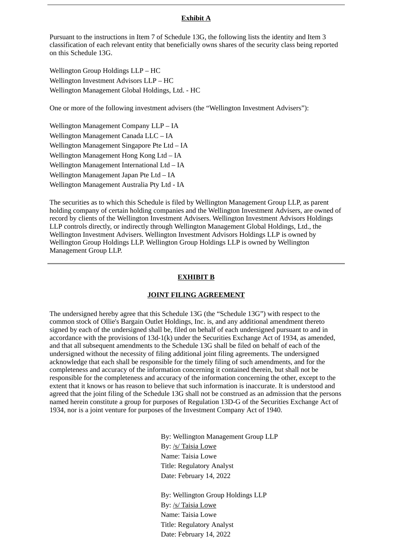### **Exhibit A**

Pursuant to the instructions in Item 7 of Schedule 13G, the following lists the identity and Item 3 classification of each relevant entity that beneficially owns shares of the security class being reported on this Schedule 13G.

Wellington Group Holdings LLP – HC Wellington Investment Advisors LLP – HC Wellington Management Global Holdings, Ltd. - HC

One or more of the following investment advisers (the "Wellington Investment Advisers"):

Wellington Management Company LLP – IA Wellington Management Canada LLC – IA Wellington Management Singapore Pte Ltd – IA Wellington Management Hong Kong Ltd – IA Wellington Management International Ltd – IA Wellington Management Japan Pte Ltd – IA Wellington Management Australia Pty Ltd - IA

The securities as to which this Schedule is filed by Wellington Management Group LLP, as parent holding company of certain holding companies and the Wellington Investment Advisers, are owned of record by clients of the Wellington Investment Advisers. Wellington Investment Advisors Holdings LLP controls directly, or indirectly through Wellington Management Global Holdings, Ltd., the Wellington Investment Advisers. Wellington Investment Advisors Holdings LLP is owned by Wellington Group Holdings LLP. Wellington Group Holdings LLP is owned by Wellington Management Group LLP.

#### **EXHIBIT B**

#### **JOINT FILING AGREEMENT**

The undersigned hereby agree that this Schedule 13G (the "Schedule 13G") with respect to the common stock of Ollie's Bargain Outlet Holdings, Inc. is, and any additional amendment thereto signed by each of the undersigned shall be, filed on behalf of each undersigned pursuant to and in accordance with the provisions of 13d-1(k) under the Securities Exchange Act of 1934, as amended, and that all subsequent amendments to the Schedule 13G shall be filed on behalf of each of the undersigned without the necessity of filing additional joint filing agreements. The undersigned acknowledge that each shall be responsible for the timely filing of such amendments, and for the completeness and accuracy of the information concerning it contained therein, but shall not be responsible for the completeness and accuracy of the information concerning the other, except to the extent that it knows or has reason to believe that such information is inaccurate. It is understood and agreed that the joint filing of the Schedule 13G shall not be construed as an admission that the persons named herein constitute a group for purposes of Regulation 13D-G of the Securities Exchange Act of 1934, nor is a joint venture for purposes of the Investment Company Act of 1940.

> By: Wellington Management Group LLP By: /s/ Taisia Lowe Name: Taisia Lowe Title: Regulatory Analyst Date: February 14, 2022

By: Wellington Group Holdings LLP By: /s/ Taisia Lowe Name: Taisia Lowe Title: Regulatory Analyst Date: February 14, 2022